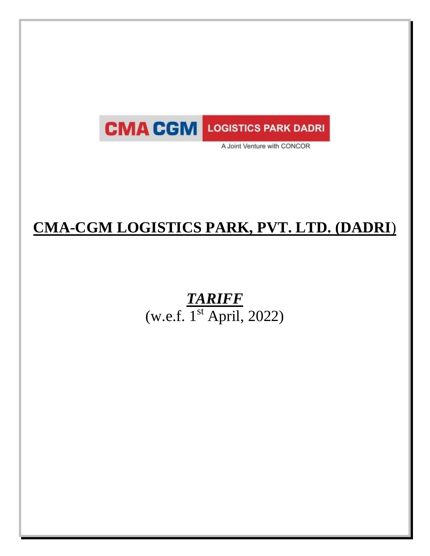

A Joint Venture with CONCOR

# **CMA-CGM LOGISTICS PARK, PVT. LTD. (DADRI**)

# *TARIFF*   $(w.e.f. 1<sup>st</sup> April, 2022)$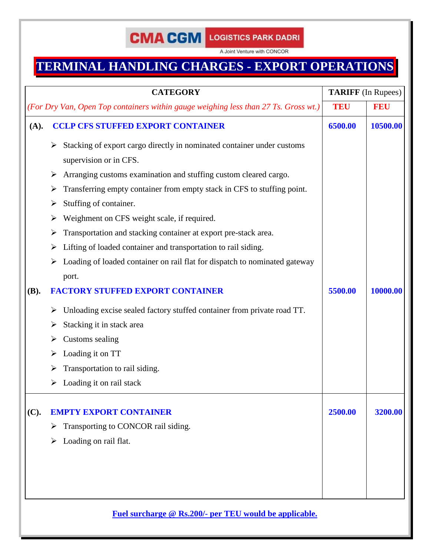A Joint Venture with CONCOR

## **TERMINAL HANDLING CHARGES - EXPORT OPERATIONS**

|             | <b>CATEGORY</b>                                                                                       | <b>TARIFF</b> (In Rupees) |            |
|-------------|-------------------------------------------------------------------------------------------------------|---------------------------|------------|
|             | (For Dry Van, Open Top containers within gauge weighing less than 27 Ts. Gross wt.)                   | <b>TEU</b>                | <b>FEU</b> |
| (A).        | <b>CCLP CFS STUFFED EXPORT CONTAINER</b>                                                              | 6500.00                   | 10500.00   |
|             | Stacking of export cargo directly in nominated container under customs<br>➤<br>supervision or in CFS. |                           |            |
|             | Arranging customs examination and stuffing custom cleared cargo.<br>➤                                 |                           |            |
|             | Transferring empty container from empty stack in CFS to stuffing point.<br>➤                          |                           |            |
|             | Stuffing of container.<br>➤                                                                           |                           |            |
|             | Weighment on CFS weight scale, if required.<br>➤                                                      |                           |            |
|             | Transportation and stacking container at export pre-stack area.<br>➤                                  |                           |            |
|             | Lifting of loaded container and transportation to rail siding.<br>➤                                   |                           |            |
|             | Loading of loaded container on rail flat for dispatch to nominated gateway                            |                           |            |
|             | port.                                                                                                 |                           |            |
| <b>(B).</b> | <b>FACTORY STUFFED EXPORT CONTAINER</b>                                                               | 5500.00                   | 10000.00   |
|             | Unloading excise sealed factory stuffed container from private road TT.<br>➤                          |                           |            |
|             | Stacking it in stack area<br>➤                                                                        |                           |            |
|             | Customs sealing                                                                                       |                           |            |
|             | Loading it on TT<br>➤                                                                                 |                           |            |
|             | Transportation to rail siding.                                                                        |                           |            |
|             | Loading it on rail stack<br>➤                                                                         |                           |            |
|             |                                                                                                       |                           |            |
| (C).        | <b>EMPTY EXPORT CONTAINER</b>                                                                         | 2500.00                   | 3200.00    |
|             | Transporting to CONCOR rail siding.<br>➤                                                              |                           |            |
|             | Loading on rail flat.<br>➤                                                                            |                           |            |
|             |                                                                                                       |                           |            |
|             |                                                                                                       |                           |            |
|             |                                                                                                       |                           |            |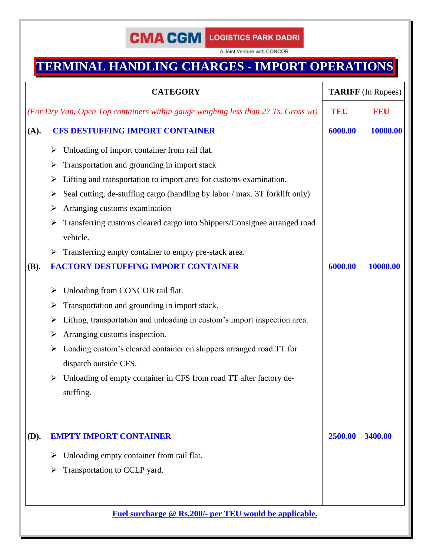A Joint Venture with CONCOR

# **TERMINAL HANDLING CHARGES - IMPORT OPERATIONS**

|             | <b>CATEGORY</b>                                                                    |            | <b>TARIFF</b> (In Rupees) |
|-------------|------------------------------------------------------------------------------------|------------|---------------------------|
|             | (For Dry Van, Open Top containers within gauge weighing less than 27 Ts. Gross wt) | <b>TEU</b> | <b>FEU</b>                |
| (A).        | <b>CFS DESTUFFING IMPORT CONTAINER</b>                                             | 6000.00    | 10000.00                  |
|             | Unloading of import container from rail flat.<br>➤                                 |            |                           |
|             | Transportation and grounding in import stack<br>➤                                  |            |                           |
|             | Lifting and transportation to import area for customs examination.<br>➤            |            |                           |
|             | Seal cutting, de-stuffing cargo (handling by labor / max. 3T forklift only)<br>➤   |            |                           |
|             | Arranging customs examination<br>➤                                                 |            |                           |
|             | Transferring customs cleared cargo into Shippers/Consignee arranged road<br>➤      |            |                           |
|             | vehicle.                                                                           |            |                           |
|             | Transferring empty container to empty pre-stack area.<br>➤                         |            |                           |
| <b>(B).</b> | <b>FACTORY DESTUFFING IMPORT CONTAINER</b>                                         | 6000.00    | 10000.00                  |
|             | Unloading from CONCOR rail flat.<br>➤                                              |            |                           |
|             | Transportation and grounding in import stack.                                      |            |                           |
|             | Lifting, transportation and unloading in custom's import inspection area.<br>➤     |            |                           |
|             | Arranging customs inspection.<br>➤                                                 |            |                           |
|             | Loading custom's cleared container on shippers arranged road TT for<br>➤           |            |                           |
|             | dispatch outside CFS.                                                              |            |                           |
|             | Unloading of empty container in CFS from road TT after factory de-                 |            |                           |
|             | stuffing.                                                                          |            |                           |
| (D).        | <b>EMPTY IMPORT CONTAINER</b>                                                      | 2500.00    | 3400.00                   |
|             | Unloading empty container from rail flat.<br>➤                                     |            |                           |
|             | Transportation to CCLP yard.<br>➤                                                  |            |                           |
|             |                                                                                    |            |                           |
|             | Fuel surcharge @ Rs.200/- per TEU would be applicable.                             |            |                           |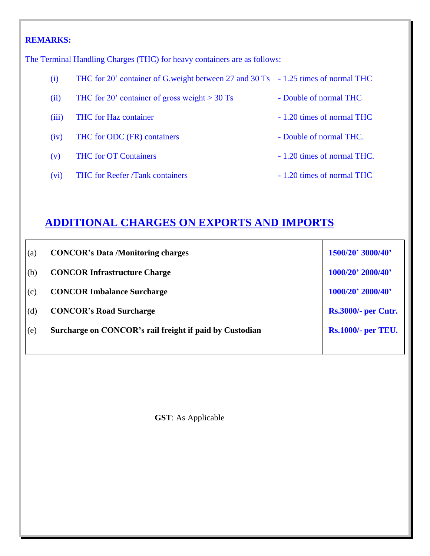### **REMARKS:**

The Terminal Handling Charges (THC) for heavy containers are as follows:

- (i) THC for 20' container of G.weight between 27 and 30 Ts 1.25 times of normal THC
- (ii) THC for 20' container of gross weight  $> 30$  Ts Double of normal THC
- (iii) THC for Haz container 1.20 times of normal THC
- (iv) THC for ODC (FR) containers Double of normal THC.
- (v) THC for OT Containers 1.20 times of normal THC.
- (vi) THC for Reefer /Tank containers 1.20 times of normal THC
- 
- 
- 
- 
- 

## **ADDITIONAL CHARGES ON EXPORTS AND IMPORTS**

| (a) | <b>CONCOR's Data /Monitoring charges</b>                | 1500/20' 3000/40'          |
|-----|---------------------------------------------------------|----------------------------|
| (b) | <b>CONCOR Infrastructure Charge</b>                     | 1000/20' 2000/40'          |
| (c) | <b>CONCOR Imbalance Surcharge</b>                       | 1000/20' 2000/40'          |
| (d) | <b>CONCOR's Road Surcharge</b>                          | <b>Rs.3000/- per Cntr.</b> |
| (e) | Surcharge on CONCOR's rail freight if paid by Custodian | <b>Rs.1000/- per TEU.</b>  |
|     |                                                         |                            |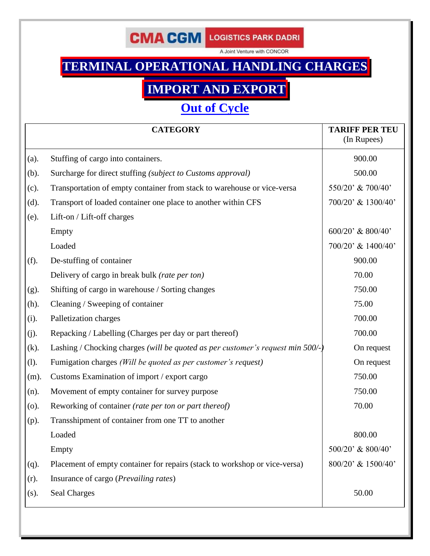A Joint Venture with CONCOR

# **TERMINAL OPERATIONAL HANDLING CHARGES**

# **IMPORT AND EXPORT**

## **Out of Cycle**

|         | <b>CATEGORY</b>                                                                 | <b>TARIFF PER TEU</b><br>(In Rupees) |
|---------|---------------------------------------------------------------------------------|--------------------------------------|
| (a).    | Stuffing of cargo into containers.                                              | 900.00                               |
| (b).    | Surcharge for direct stuffing (subject to Customs approval)                     | 500.00                               |
| (c).    | Transportation of empty container from stack to warehouse or vice-versa         | 550/20' & 700/40'                    |
| (d).    | Transport of loaded container one place to another within CFS                   | 700/20' & 1300/40'                   |
| (e).    | Lift-on / Lift-off charges                                                      |                                      |
|         | Empty                                                                           | $600/20$ ' & $800/40$ '              |
|         | Loaded                                                                          | 700/20' & 1400/40'                   |
| (f).    | De-stuffing of container                                                        | 900.00                               |
|         | Delivery of cargo in break bulk (rate per ton)                                  | 70.00                                |
| (g).    | Shifting of cargo in warehouse / Sorting changes                                | 750.00                               |
| $(h)$ . | Cleaning / Sweeping of container                                                | 75.00                                |
| (i).    | Palletization charges                                                           | 700.00                               |
| (j).    | Repacking / Labelling (Charges per day or part thereof)                         | 700.00                               |
| $(k)$ . | Lashing / Chocking charges (will be quoted as per customer's request min 500/-) | On request                           |
| (l).    | Fumigation charges (Will be quoted as per customer's request)                   | On request                           |
| $(m)$ . | Customs Examination of import / export cargo                                    | 750.00                               |
| (n).    | Movement of empty container for survey purpose                                  | 750.00                               |
| (0).    | Reworking of container (rate per ton or part thereof)                           | 70.00                                |
| $(p)$ . | Transshipment of container from one TT to another                               |                                      |
|         | Loaded                                                                          | 800.00                               |
|         | Empty                                                                           | 500/20' & 800/40'                    |
| $(q)$ . | Placement of empty container for repairs (stack to workshop or vice-versa)      | 800/20' & 1500/40'                   |
| (r).    | Insurance of cargo (Prevailing rates)                                           |                                      |
| $(s)$ . | <b>Seal Charges</b>                                                             | 50.00                                |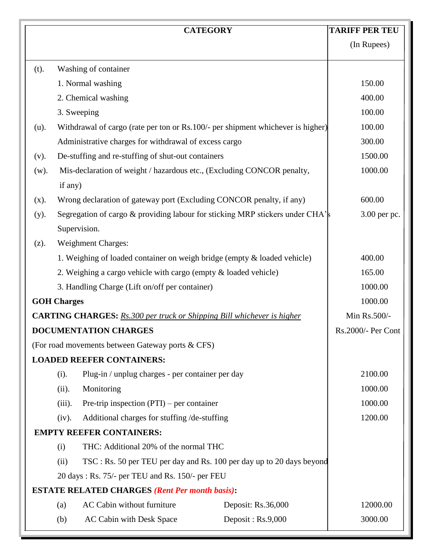|                                                                               | <b>CATEGORY</b>                                                                 | <b>TARIFF PER TEU</b> |
|-------------------------------------------------------------------------------|---------------------------------------------------------------------------------|-----------------------|
|                                                                               |                                                                                 | (In Rupees)           |
| (t).                                                                          | Washing of container                                                            |                       |
|                                                                               | 1. Normal washing                                                               | 150.00                |
|                                                                               | 2. Chemical washing                                                             | 400.00                |
|                                                                               | 3. Sweeping                                                                     | 100.00                |
| $(u)$ .                                                                       | Withdrawal of cargo (rate per ton or Rs.100/- per shipment whichever is higher) | 100.00                |
|                                                                               | Administrative charges for withdrawal of excess cargo                           | 300.00                |
| (v).                                                                          | De-stuffing and re-stuffing of shut-out containers                              | 1500.00               |
| $(w)$ .                                                                       | Mis-declaration of weight / hazardous etc., (Excluding CONCOR penalty,          | 1000.00               |
|                                                                               | if any)                                                                         |                       |
| (x).                                                                          | Wrong declaration of gateway port (Excluding CONCOR penalty, if any)            | 600.00                |
| $(y)$ .                                                                       | Segregation of cargo & providing labour for sticking MRP stickers under CHA's   | 3.00 per pc.          |
|                                                                               | Supervision.                                                                    |                       |
| (z).                                                                          | <b>Weighment Charges:</b>                                                       |                       |
|                                                                               | 1. Weighing of loaded container on weigh bridge (empty & loaded vehicle)        | 400.00                |
|                                                                               | 2. Weighing a cargo vehicle with cargo (empty & loaded vehicle)                 | 165.00                |
|                                                                               | 3. Handling Charge (Lift on/off per container)                                  | 1000.00               |
| <b>GOH Charges</b>                                                            |                                                                                 | 1000.00               |
| <b>CARTING CHARGES:</b> Rs.300 per truck or Shipping Bill whichever is higher | Min Rs.500/-                                                                    |                       |
|                                                                               | DOCUMENTATION CHARGES                                                           | Rs.2000/- Per Cont    |
|                                                                               | (For road movements between Gateway ports & CFS)                                |                       |
|                                                                               | <b>LOADED REEFER CONTAINERS:</b>                                                |                       |
|                                                                               | Plug-in / unplug charges - per container per day<br>(i).                        | 2100.00               |
|                                                                               | Monitoring<br>(ii).                                                             | 1000.00               |
|                                                                               | $(iii)$ .<br>Pre-trip inspection $(PTI)$ – per container                        | 1000.00               |
|                                                                               | (iv).<br>Additional charges for stuffing /de-stuffing                           | 1200.00               |
|                                                                               | <b>EMPTY REEFER CONTAINERS:</b>                                                 |                       |
|                                                                               | THC: Additional 20% of the normal THC<br>(i)                                    |                       |
| (ii)<br>TSC : Rs. 50 per TEU per day and Rs. 100 per day up to 20 days beyond |                                                                                 |                       |
| 20 days: Rs. 75/- per TEU and Rs. 150/- per FEU                               |                                                                                 |                       |
|                                                                               | <b>ESTATE RELATED CHARGES (Rent Per month basis):</b>                           |                       |
|                                                                               | AC Cabin without furniture<br>Deposit: Rs.36,000<br>(a)                         | 12000.00              |
|                                                                               | AC Cabin with Desk Space<br>Deposit: $Rs.9,000$<br>(b)                          | 3000.00               |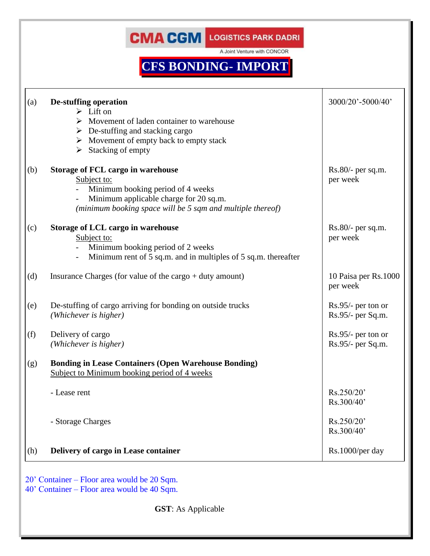A Joint Venture with CONCOR

# **CFS BONDING- IMPORT**

| $Rs.80/-$ per sq.m.<br>per week           |
|-------------------------------------------|
|                                           |
| $Rs.80/-$ per sq.m.<br>per week           |
| 10 Paisa per Rs.1000<br>per week          |
| $Rs.95/-$ per ton or<br>Rs.95/- per Sq.m. |
| Rs.95/- per ton or<br>Rs.95/- per Sq.m.   |
|                                           |
| Rs.250/20'<br>Rs.300/40'                  |
| Rs.250/20'<br>Rs.300/40'                  |
| Rs.1000/per day                           |
|                                           |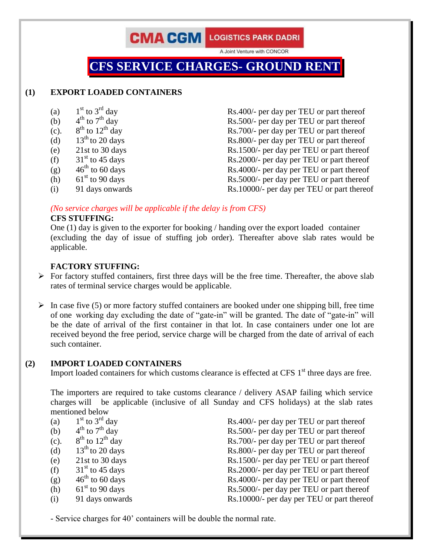A Joint Venture with CONCOR

## **CFS SERVICE CHARGES- GROUND RENT**

### **(1) EXPORT LOADED CONTAINERS**

- (a)  $1<sup>st</sup>$  to  $3<sup>rd</sup>$  day
- $4^{\text{th}}$  to  $7^{\text{th}}$  day
- (b)  $4^{th}$  to  $7^{th}$  day<br>(c).  $8^{th}$  to  $12^{th}$  day  $(c).$
- 
- 
- 
- 
- (h)  $61<sup>st</sup>$  to 90 days
- 

 $Rs.400/-$  per day per TEU or part thereof  $Rs.500/-$  per day per TEU or part thereof  $Rs.700/-$  per day per TEU or part thereof (d)  $13<sup>th</sup>$  to 20 days Rs.800/- per day per TEU or part thereof (e) 21st to 30 days Rs.1500/- per day per TEU or part thereof (f)  $31^{\text{st}}$  to 45 days Rs.2000/- per day per TEU or part thereof (g)  $46^{\text{th}}$  to 60 days Rs.4000/- per day per TEU or part thereof (g)  $46<sup>th</sup>$  to 60 days Rs.4000/- per day per TEU or part thereof Rs.5000/- per day per TEU or part thereof (i) 91 days onwards Rs.10000/- per day per TEU or part thereof

*(No service charges will be applicable if the delay is from CFS)*

### **CFS STUFFING:**

One (1) day is given to the exporter for booking / handing over the export loaded container (excluding the day of issue of stuffing job order). Thereafter above slab rates would be applicable.

### **FACTORY STUFFING:**

- $\triangleright$  For factory stuffed containers, first three days will be the free time. Thereafter, the above slab rates of terminal service charges would be applicable.
- $\triangleright$  In case five (5) or more factory stuffed containers are booked under one shipping bill, free time of one working day excluding the date of "gate-in" will be granted. The date of "gate-in" will be the date of arrival of the first container in that lot. In case containers under one lot are received beyond the free period, service charge will be charged from the date of arrival of each such container.

### **(2) IMPORT LOADED CONTAINERS**

Import loaded containers for which customs clearance is effected at CFS  $1<sup>st</sup>$  three days are free.

The importers are required to take customs clearance / delivery ASAP failing which service charges will be applicable (inclusive of all Sunday and CFS holidays) at the slab rates mentioned below

| (a)  | $1st$ to $3rd$ day       | Rs.400/- per day per TEU or part thereof   |
|------|--------------------------|--------------------------------------------|
| (b)  | $4^{th}$ to $7^{th}$ day | Rs.500/- per day per TEU or part thereof   |
| (c). | $8th$ to $12th$ day      | Rs.700/- per day per TEU or part thereof   |
| (d)  | $13th$ to 20 days        | Rs.800/- per day per TEU or part thereof   |
| (e)  | 21st to 30 days          | Rs.1500/- per day per TEU or part thereof  |
| (f)  | $31st$ to 45 days        | Rs.2000/- per day per TEU or part thereof  |
| (g)  | $46th$ to 60 days        | Rs.4000/- per day per TEU or part thereof  |
| (h)  | $61st$ to 90 days        | Rs.5000/- per day per TEU or part thereof  |
| (i)  | 91 days onwards          | Rs.10000/- per day per TEU or part thereof |

- Service charges for 40' containers will be double the normal rate.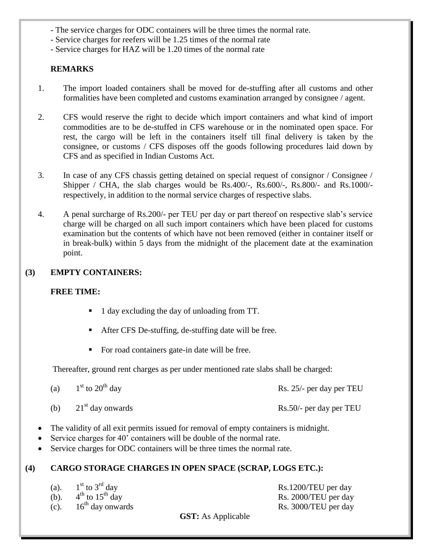- The service charges for ODC containers will be three times the normal rate.
- Service charges for reefers will be 1.25 times of the normal rate
- Service charges for HAZ will be 1.20 times of the normal rate

### **REMARKS**

- 1. The import loaded containers shall be moved for de-stuffing after all customs and other formalities have been completed and customs examination arranged by consignee / agent.
- 2. CFS would reserve the right to decide which import containers and what kind of import commodities are to be de-stuffed in CFS warehouse or in the nominated open space. For rest, the cargo will be left in the containers itself till final delivery is taken by the consignee, or customs / CFS disposes off the goods following procedures laid down by CFS and as specified in Indian Customs Act.
- 3. In case of any CFS chassis getting detained on special request of consignor / Consignee / Shipper / CHA, the slab charges would be Rs.400/-, Rs.600/-, Rs.800/- and Rs.1000/respectively, in addition to the normal service charges of respective slabs.
- 4. A penal surcharge of Rs.200/- per TEU per day or part thereof on respective slab's service charge will be charged on all such import containers which have been placed for customs examination but the contents of which have not been removed (either in container itself or in break-bulk) within 5 days from the midnight of the placement date at the examination point.

### **(3) EMPTY CONTAINERS:**

### **FREE TIME:**

- 1 day excluding the day of unloading from TT.
- After CFS De-stuffing, de-stuffing date will be free.
- For road containers gate-in date will be free.

Thereafter, ground rent charges as per under mentioned rate slabs shall be charged:

| (a) | $1st$ to $20th$ day | Rs. 25/- per day per TEU |
|-----|---------------------|--------------------------|
| (b) | $21st$ day onwards  | Rs.50/- per day per TEU  |

- The validity of all exit permits issued for removal of empty containers is midnight.
- Service charges for 40' containers will be double of the normal rate.
- Service charges for ODC containers will be three times the normal rate.

### **(4) CARGO STORAGE CHARGES IN OPEN SPACE (SCRAP, LOGS ETC.):**

| (a). | $1st$ to $3rd$ day        |
|------|---------------------------|
| (b). | $4^{th}$ to $15^{th}$ day |
| (c). | $16th$ day onwards        |

Rs.1200/TEU per day Rs. 2000/TEU per day day onwards Rs. 3000/TEU per day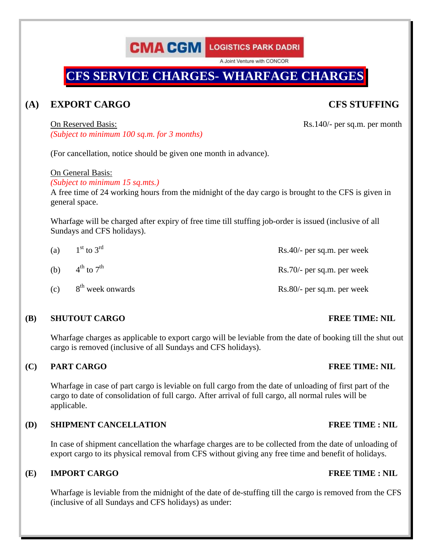A Joint Venture with CONCOR

## **CFS SERVICE CHARGES- WHARFAGE CHARGES**

### **(A) EXPORT CARGO CFS STUFFING**

On Reserved Basis: Rs.140/- per sq.m. per month *(Subject to minimum 100 sq.m. for 3 months)*

(For cancellation, notice should be given one month in advance).

On General Basis:

*(Subject to minimum 15 sq.mts.)*

A free time of 24 working hours from the midnight of the day cargo is brought to the CFS is given in general space.

Wharfage will be charged after expiry of free time till stuffing job-order is issued (inclusive of all Sundays and CFS holidays).

| (a) | $1st$ to $3rd$                     | Rs.40/- per sq.m. per week |
|-----|------------------------------------|----------------------------|
|     | (b) $4^{th}$ to $7^{th}$           | Rs.70/- per sq.m. per week |
|     | $(c)$ 8 <sup>th</sup> week onwards | Rs.80/- per sq.m. per week |

### **(B) SHUTOUT CARGO FREE TIME: NIL**

Wharfage charges as applicable to export cargo will be leviable from the date of booking till the shut out cargo is removed (inclusive of all Sundays and CFS holidays).

### **(C) PART CARGO FREE TIME: NIL**

Wharfage in case of part cargo is leviable on full cargo from the date of unloading of first part of the cargo to date of consolidation of full cargo. After arrival of full cargo, all normal rules will be applicable.

### **(D) SHIPMENT CANCELLATION FREE TIME : NIL**

In case of shipment cancellation the wharfage charges are to be collected from the date of unloading of export cargo to its physical removal from CFS without giving any free time and benefit of holidays.

### **(E) IMPORT CARGO FREE TIME : NIL**

Wharfage is leviable from the midnight of the date of de-stuffing till the cargo is removed from the CFS (inclusive of all Sundays and CFS holidays) as under: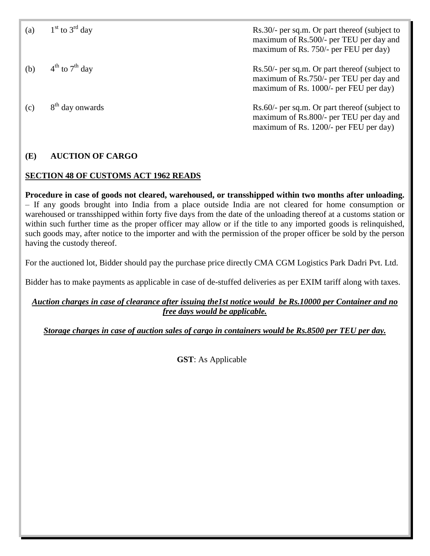| (a) | $1st$ to $3rd$ day          | Rs.30/- per sq.m. Or part thereof (subject to<br>maximum of Rs.500/- per TEU per day and<br>maximum of Rs. 750/- per FEU per day)  |
|-----|-----------------------------|------------------------------------------------------------------------------------------------------------------------------------|
| (b) | $4^{th}$ to $7^{th}$ day    | Rs.50/- per sq.m. Or part thereof (subject to<br>maximum of Rs.750/- per TEU per day and<br>maximum of Rs. 1000/- per FEU per day) |
| (c) | 8 <sup>th</sup> day onwards | Rs.60/- per sq.m. Or part thereof (subject to<br>maximum of Rs.800/- per TEU per day and<br>maximum of Rs. 1200/- per FEU per day) |

### **(E) AUCTION OF CARGO**

### **SECTION 48 OF CUSTOMS ACT 1962 READS**

**Procedure in case of goods not cleared, warehoused, or transshipped within two months after unloading.** – If any goods brought into India from a place outside India are not cleared for home consumption or warehoused or transshipped within forty five days from the date of the unloading thereof at a customs station or within such further time as the proper officer may allow or if the title to any imported goods is relinquished, such goods may, after notice to the importer and with the permission of the proper officer be sold by the person having the custody thereof.

For the auctioned lot, Bidder should pay the purchase price directly CMA CGM Logistics Park Dadri Pvt. Ltd.

Bidder has to make payments as applicable in case of de-stuffed deliveries as per EXIM tariff along with taxes.

### *Auction charges in case of clearance after issuing the1st notice would be Rs.10000 per Container and no free days would be applicable.*

*Storage charges in case of auction sales of cargo in containers would be Rs.8500 per TEU per day.*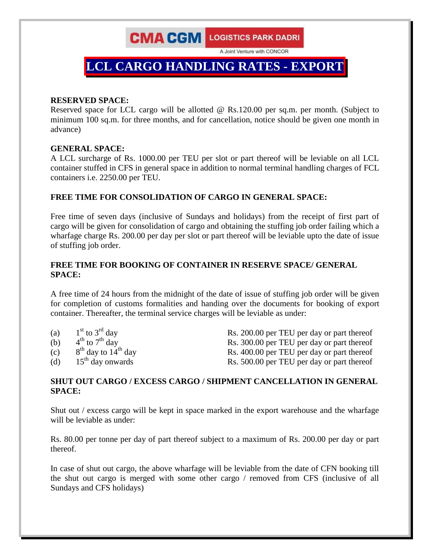A Joint Venture with CONCOR

## $LCL$  **CARGO HANDLING RATES** - **EXPOR**

### **RESERVED SPACE:**

Reserved space for LCL cargo will be allotted @ Rs.120.00 per sq.m. per month. (Subject to minimum 100 sq.m. for three months, and for cancellation, notice should be given one month in advance)

### **GENERAL SPACE:**

A LCL surcharge of Rs. 1000.00 per TEU per slot or part thereof will be leviable on all LCL container stuffed in CFS in general space in addition to normal terminal handling charges of FCL containers i.e. 2250.00 per TEU.

### **FREE TIME FOR CONSOLIDATION OF CARGO IN GENERAL SPACE:**

Free time of seven days (inclusive of Sundays and holidays) from the receipt of first part of cargo will be given for consolidation of cargo and obtaining the stuffing job order failing which a wharfage charge Rs. 200.00 per day per slot or part thereof will be leviable upto the date of issue of stuffing job order.

### **FREE TIME FOR BOOKING OF CONTAINER IN RESERVE SPACE/ GENERAL SPACE:**

A free time of 24 hours from the midnight of the date of issue of stuffing job order will be given for completion of customs formalities and handing over the documents for booking of export container. Thereafter, the terminal service charges will be leviable as under:

| (a) | $1st$ to $3rd$ day                | Rs. 200.00 per TEU per day or part thereof |
|-----|-----------------------------------|--------------------------------------------|
| (b) | $4^{th}$ to $7^{th}$ day          | Rs. 300.00 per TEU per day or part thereof |
| (c) | $8th$ day to 14 <sup>th</sup> day | Rs. 400.00 per TEU per day or part thereof |
| (d) | $15th$ day onwards                | Rs. 500.00 per TEU per day or part thereof |

### **SHUT OUT CARGO / EXCESS CARGO / SHIPMENT CANCELLATION IN GENERAL SPACE:**

Shut out / excess cargo will be kept in space marked in the export warehouse and the wharfage will be leviable as under:

Rs. 80.00 per tonne per day of part thereof subject to a maximum of Rs. 200.00 per day or part thereof.

In case of shut out cargo, the above wharfage will be leviable from the date of CFN booking till the shut out cargo is merged with some other cargo / removed from CFS (inclusive of all Sundays and CFS holidays)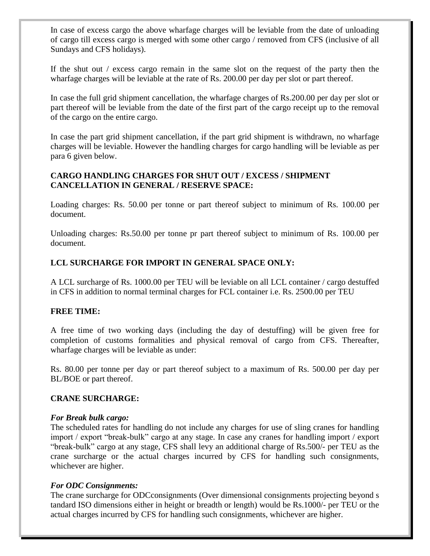In case of excess cargo the above wharfage charges will be leviable from the date of unloading of cargo till excess cargo is merged with some other cargo / removed from CFS (inclusive of all Sundays and CFS holidays).

If the shut out / excess cargo remain in the same slot on the request of the party then the wharfage charges will be leviable at the rate of Rs. 200.00 per day per slot or part thereof.

In case the full grid shipment cancellation, the wharfage charges of Rs.200.00 per day per slot or part thereof will be leviable from the date of the first part of the cargo receipt up to the removal of the cargo on the entire cargo.

In case the part grid shipment cancellation, if the part grid shipment is withdrawn, no wharfage charges will be leviable. However the handling charges for cargo handling will be leviable as per para 6 given below.

### **CARGO HANDLING CHARGES FOR SHUT OUT / EXCESS / SHIPMENT CANCELLATION IN GENERAL / RESERVE SPACE:**

Loading charges: Rs. 50.00 per tonne or part thereof subject to minimum of Rs. 100.00 per document.

Unloading charges: Rs.50.00 per tonne pr part thereof subject to minimum of Rs. 100.00 per document.

### **LCL SURCHARGE FOR IMPORT IN GENERAL SPACE ONLY:**

A LCL surcharge of Rs. 1000.00 per TEU will be leviable on all LCL container / cargo destuffed in CFS in addition to normal terminal charges for FCL container i.e. Rs. 2500.00 per TEU

### **FREE TIME:**

A free time of two working days (including the day of destuffing) will be given free for completion of customs formalities and physical removal of cargo from CFS. Thereafter, wharfage charges will be leviable as under:

Rs. 80.00 per tonne per day or part thereof subject to a maximum of Rs. 500.00 per day per BL/BOE or part thereof.

### **CRANE SURCHARGE:**

### *For Break bulk cargo:*

The scheduled rates for handling do not include any charges for use of sling cranes for handling import / export "break-bulk" cargo at any stage. In case any cranes for handling import / export "break-bulk" cargo at any stage, CFS shall levy an additional charge of Rs.500/- per TEU as the crane surcharge or the actual charges incurred by CFS for handling such consignments, whichever are higher.

### *For ODC Consignments:*

The crane surcharge for ODCconsignments (Over dimensional consignments projecting beyond s tandard ISO dimensions either in height or breadth or length) would be Rs.1000/- per TEU or the actual charges incurred by CFS for handling such consignments, whichever are higher.